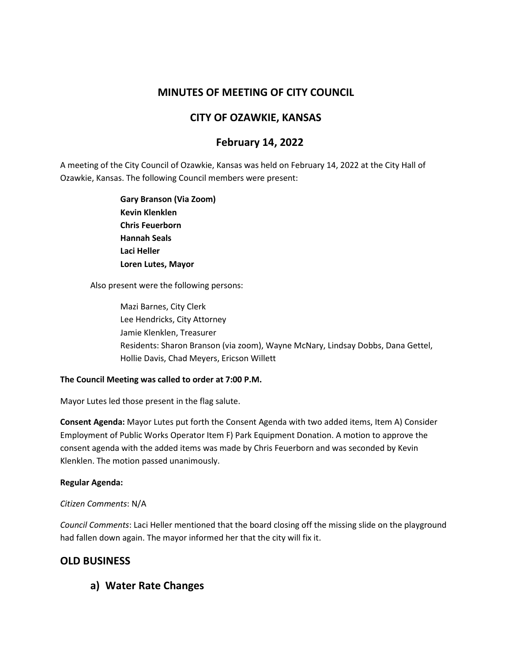# **MINUTES OF MEETING OF CITY COUNCIL**

# **CITY OF OZAWKIE, KANSAS**

# **February 14, 2022**

A meeting of the City Council of Ozawkie, Kansas was held on February 14, 2022 at the City Hall of Ozawkie, Kansas. The following Council members were present:

> **Gary Branson (Via Zoom) Kevin Klenklen Chris Feuerborn Hannah Seals Laci Heller Loren Lutes, Mayor**

Also present were the following persons:

Mazi Barnes, City Clerk Lee Hendricks, City Attorney Jamie Klenklen, Treasurer Residents: Sharon Branson (via zoom), Wayne McNary, Lindsay Dobbs, Dana Gettel, Hollie Davis, Chad Meyers, Ericson Willett

#### **The Council Meeting was called to order at 7:00 P.M.**

Mayor Lutes led those present in the flag salute.

**Consent Agenda:** Mayor Lutes put forth the Consent Agenda with two added items, Item A) Consider Employment of Public Works Operator Item F) Park Equipment Donation. A motion to approve the consent agenda with the added items was made by Chris Feuerborn and was seconded by Kevin Klenklen. The motion passed unanimously.

#### **Regular Agenda:**

### *Citizen Comments*: N/A

*Council Comments*: Laci Heller mentioned that the board closing off the missing slide on the playground had fallen down again. The mayor informed her that the city will fix it.

# **OLD BUSINESS**

**a) Water Rate Changes**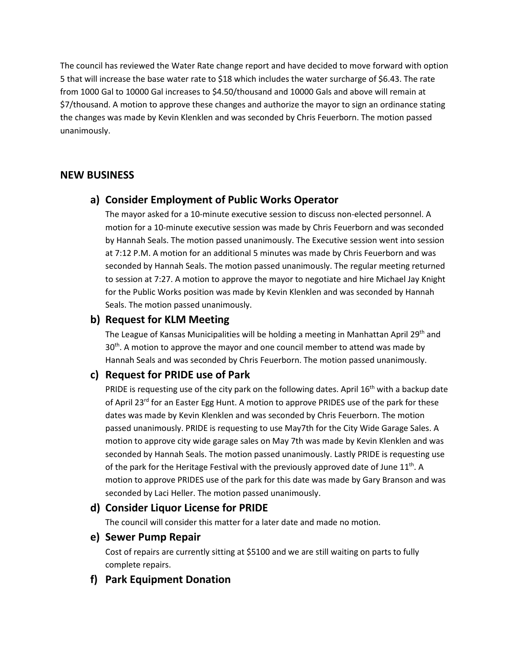The council has reviewed the Water Rate change report and have decided to move forward with option 5 that will increase the base water rate to \$18 which includes the water surcharge of \$6.43. The rate from 1000 Gal to 10000 Gal increases to \$4.50/thousand and 10000 Gals and above will remain at \$7/thousand. A motion to approve these changes and authorize the mayor to sign an ordinance stating the changes was made by Kevin Klenklen and was seconded by Chris Feuerborn. The motion passed unanimously.

# **NEW BUSINESS**

# **a) Consider Employment of Public Works Operator**

The mayor asked for a 10-minute executive session to discuss non-elected personnel. A motion for a 10-minute executive session was made by Chris Feuerborn and was seconded by Hannah Seals. The motion passed unanimously. The Executive session went into session at 7:12 P.M. A motion for an additional 5 minutes was made by Chris Feuerborn and was seconded by Hannah Seals. The motion passed unanimously. The regular meeting returned to session at 7:27. A motion to approve the mayor to negotiate and hire Michael Jay Knight for the Public Works position was made by Kevin Klenklen and was seconded by Hannah Seals. The motion passed unanimously.

## **b) Request for KLM Meeting**

The League of Kansas Municipalities will be holding a meeting in Manhattan April 29<sup>th</sup> and  $30<sup>th</sup>$ . A motion to approve the mayor and one council member to attend was made by Hannah Seals and was seconded by Chris Feuerborn. The motion passed unanimously.

# **c) Request for PRIDE use of Park**

PRIDE is requesting use of the city park on the following dates. April  $16<sup>th</sup>$  with a backup date of April 23<sup>rd</sup> for an Easter Egg Hunt. A motion to approve PRIDES use of the park for these dates was made by Kevin Klenklen and was seconded by Chris Feuerborn. The motion passed unanimously. PRIDE is requesting to use May7th for the City Wide Garage Sales. A motion to approve city wide garage sales on May 7th was made by Kevin Klenklen and was seconded by Hannah Seals. The motion passed unanimously. Lastly PRIDE is requesting use of the park for the Heritage Festival with the previously approved date of June 11<sup>th</sup>. A motion to approve PRIDES use of the park for this date was made by Gary Branson and was seconded by Laci Heller. The motion passed unanimously.

## **d) Consider Liquor License for PRIDE**

The council will consider this matter for a later date and made no motion.

#### **e) Sewer Pump Repair**

Cost of repairs are currently sitting at \$5100 and we are still waiting on parts to fully complete repairs.

## **f) Park Equipment Donation**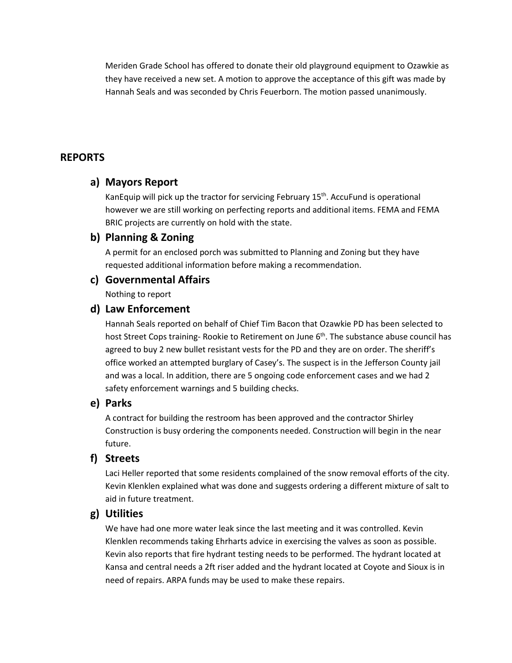Meriden Grade School has offered to donate their old playground equipment to Ozawkie as they have received a new set. A motion to approve the acceptance of this gift was made by Hannah Seals and was seconded by Chris Feuerborn. The motion passed unanimously.

## **REPORTS**

### **a) Mayors Report**

KanEquip will pick up the tractor for servicing February  $15<sup>th</sup>$ . AccuFund is operational however we are still working on perfecting reports and additional items. FEMA and FEMA BRIC projects are currently on hold with the state.

### **b) Planning & Zoning**

A permit for an enclosed porch was submitted to Planning and Zoning but they have requested additional information before making a recommendation.

#### **c) Governmental Affairs**

Nothing to report

### **d) Law Enforcement**

Hannah Seals reported on behalf of Chief Tim Bacon that Ozawkie PD has been selected to host Street Cops training- Rookie to Retirement on June  $6<sup>th</sup>$ . The substance abuse council has agreed to buy 2 new bullet resistant vests for the PD and they are on order. The sheriff's office worked an attempted burglary of Casey's. The suspect is in the Jefferson County jail and was a local. In addition, there are 5 ongoing code enforcement cases and we had 2 safety enforcement warnings and 5 building checks.

#### **e) Parks**

A contract for building the restroom has been approved and the contractor Shirley Construction is busy ordering the components needed. Construction will begin in the near future.

#### **f) Streets**

Laci Heller reported that some residents complained of the snow removal efforts of the city. Kevin Klenklen explained what was done and suggests ordering a different mixture of salt to aid in future treatment.

### **g) Utilities**

We have had one more water leak since the last meeting and it was controlled. Kevin Klenklen recommends taking Ehrharts advice in exercising the valves as soon as possible. Kevin also reports that fire hydrant testing needs to be performed. The hydrant located at Kansa and central needs a 2ft riser added and the hydrant located at Coyote and Sioux is in need of repairs. ARPA funds may be used to make these repairs.